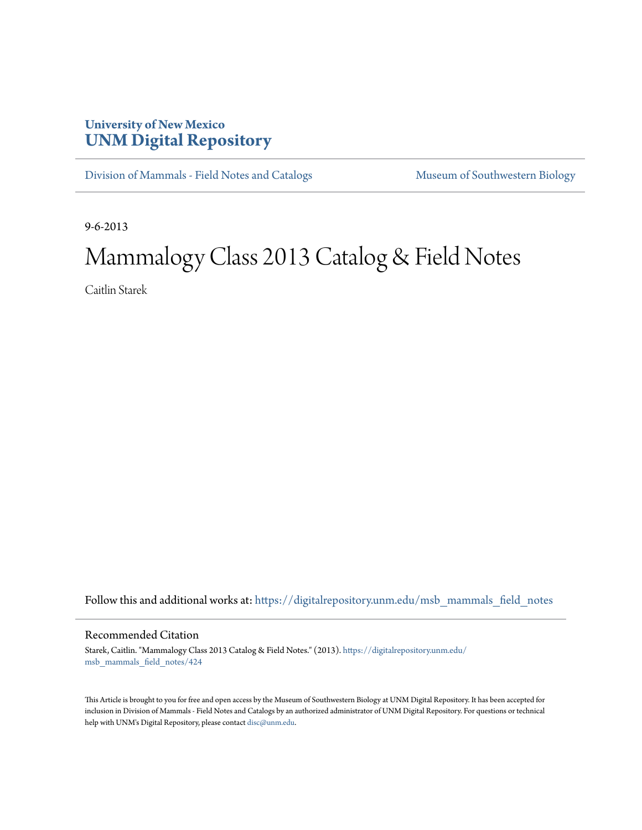## **University of New Mexico [UNM Digital Repository](https://digitalrepository.unm.edu?utm_source=digitalrepository.unm.edu%2Fmsb_mammals_field_notes%2F424&utm_medium=PDF&utm_campaign=PDFCoverPages)**

[Division of Mammals - Field Notes and Catalogs](https://digitalrepository.unm.edu/msb_mammals_field_notes?utm_source=digitalrepository.unm.edu%2Fmsb_mammals_field_notes%2F424&utm_medium=PDF&utm_campaign=PDFCoverPages) [Museum of Southwestern Biology](https://digitalrepository.unm.edu/msb?utm_source=digitalrepository.unm.edu%2Fmsb_mammals_field_notes%2F424&utm_medium=PDF&utm_campaign=PDFCoverPages)

9-6-2013

## Mammalogy Class 2013 Catalog & Field Notes

Caitlin Starek

Follow this and additional works at: [https://digitalrepository.unm.edu/msb\\_mammals\\_field\\_notes](https://digitalrepository.unm.edu/msb_mammals_field_notes?utm_source=digitalrepository.unm.edu%2Fmsb_mammals_field_notes%2F424&utm_medium=PDF&utm_campaign=PDFCoverPages)

## Recommended Citation

Starek, Caitlin. "Mammalogy Class 2013 Catalog & Field Notes." (2013). [https://digitalrepository.unm.edu/](https://digitalrepository.unm.edu/msb_mammals_field_notes/424?utm_source=digitalrepository.unm.edu%2Fmsb_mammals_field_notes%2F424&utm_medium=PDF&utm_campaign=PDFCoverPages) [msb\\_mammals\\_field\\_notes/424](https://digitalrepository.unm.edu/msb_mammals_field_notes/424?utm_source=digitalrepository.unm.edu%2Fmsb_mammals_field_notes%2F424&utm_medium=PDF&utm_campaign=PDFCoverPages)

This Article is brought to you for free and open access by the Museum of Southwestern Biology at UNM Digital Repository. It has been accepted for inclusion in Division of Mammals - Field Notes and Catalogs by an authorized administrator of UNM Digital Repository. For questions or technical help with UNM's Digital Repository, please contact [disc@unm.edu](mailto:disc@unm.edu).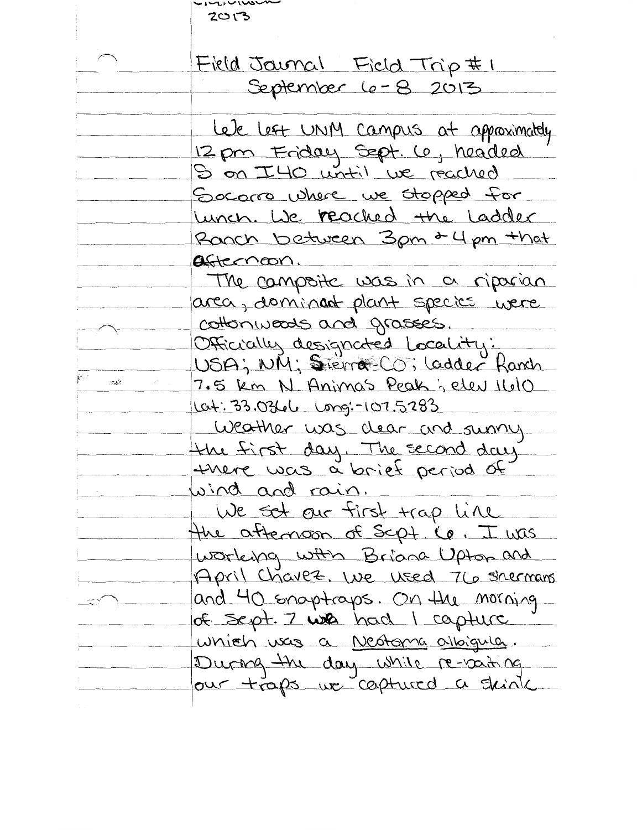|                                | $-1.4\sqrt{100}$<br>ていつ               |
|--------------------------------|---------------------------------------|
|                                |                                       |
|                                | Field Journal Field Trip #1           |
|                                | September 6-8 2013                    |
|                                |                                       |
|                                | Lele Left UNM Campus at approximately |
|                                | 12 pm Friday Sept. Co, headed         |
|                                | S on I40 until we reached             |
|                                | Socomo where we stopped for           |
|                                | Lunch. We reached the Ladder          |
|                                | Ranch between 3pm & 4 pm +hat         |
|                                | afternoon                             |
|                                | The campoite was in a riparian        |
|                                | area, dominant plant species were     |
|                                | cottonweads and grasses.              |
|                                | Officially designated Locality:       |
|                                | USA; NM; Sierra CO; Ladder Ranch      |
| $\mathcal{P}_{\mathcal{A}}(t)$ | 7.5 km N Animas Peak ; elev 1610      |
|                                | <u>lat: 33.03616</u> Long:-107.5283   |
|                                | Weather was dear and sunny            |
|                                | the first day. The second day         |
|                                | there was a brief period of           |
|                                | wind and rain.                        |
|                                | We set our first trap line            |
|                                | the attenson of Scpt. Ce. I was       |
|                                | working with Briana Upton and         |
|                                | April Chavez. We used 76 shermans     |
|                                | and 40 snaptraps. On the morning      |
|                                | of sept. 7 with had I capture         |
|                                | which uses a Nestoma albigula.        |
|                                | During the day while re-vating        |
|                                | our traps we captured a skink         |
|                                |                                       |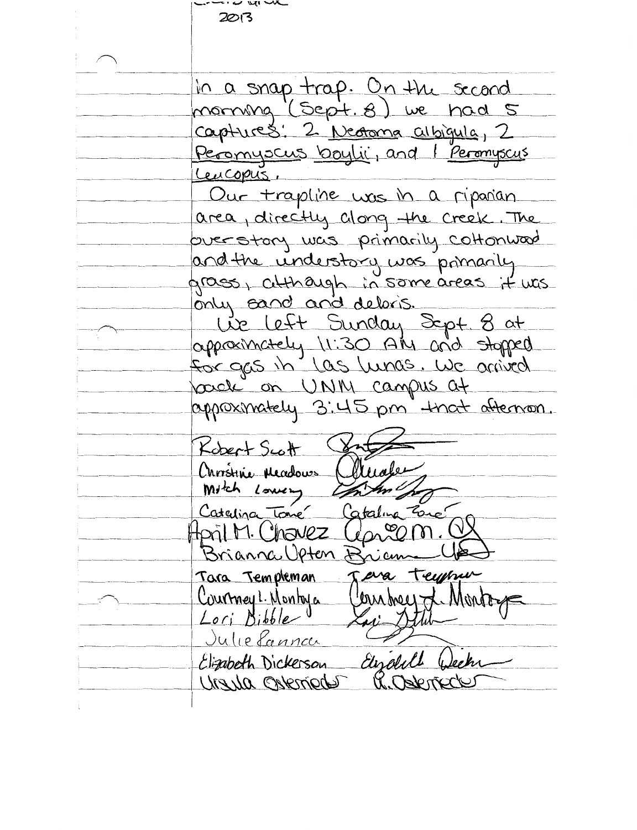$\sim$   $\mu$  $2013$ in a snap trap. On the second morning (Sept. 8) we had 5 captures: 2 Nectorna albigula, 2 Peromyocus boylic, and I peromyscus Leucopus. Our trapline was in a riponian area, directly clong the creek. The overstory was primarily cottonward and the understory was primarily grass, atthough in some areas it was only cand and deloris. Lie Left Sunday Sept 8 at<br>apposinately 11:30 AM and stopped for gas in las lunas. We arrived pack on UNM campus at appoximately 3:45 pm that afternoon. Kobert Scott Christine Meadows Mitch Lowery Catalina Tome Catalina Zone Hpril M. Chavez  $U_{Q\Lambda}$ 20 Brianna Upten Bri Jeva teypper Tara Templeman Clean breez of Montoy Courmey L. Montoya Lori Bibble Julie Lanna Elizabeth Dickerson Elizabeth Urzyla Osterried U. Oskr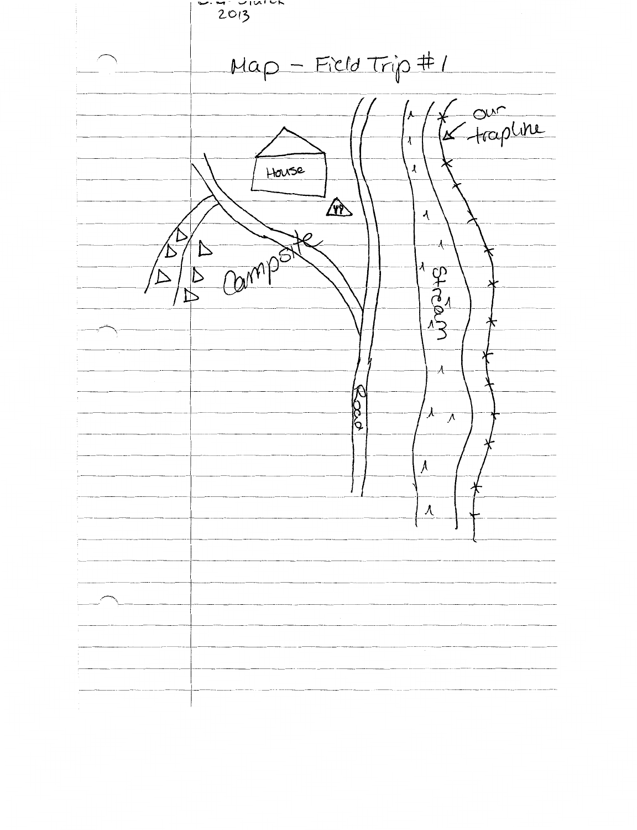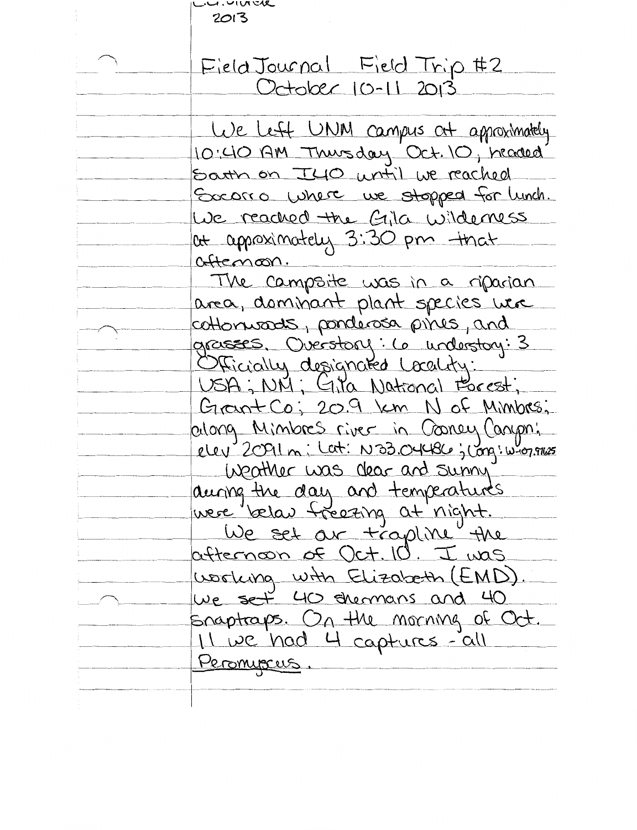| <u>.a.unve</u>                                                                             |
|--------------------------------------------------------------------------------------------|
| 2013                                                                                       |
|                                                                                            |
| Field Journal Field Trip #2<br>October 10-11 2013                                          |
|                                                                                            |
|                                                                                            |
| We left UNM campus at approximately                                                        |
| 10:40 AM Thursday Oct. 10, headed                                                          |
| Satth on I40 until we reached                                                              |
| Socorro Where we stopped for lunch.                                                        |
| We reached the Gila wilderness                                                             |
| at approximately 3:30 pm that                                                              |
| aftemoon.                                                                                  |
| The campaite was in a riparian                                                             |
| area, dominant plant species were                                                          |
| cottonwards, ponderosa pines, and                                                          |
| grasses. Overstory: 6 understory: 3                                                        |
| Officially designated Locality:                                                            |
|                                                                                            |
| Grant Co; 20.9 km N of Minibes;                                                            |
| oilong Minibres river in Cooney Canoni<br>elev 2091 m i Lat: N33.04486; Long: w-1079168    |
|                                                                                            |
| Weather was dear and sunny                                                                 |
|                                                                                            |
| during the day and temperatures<br>were belau freezing at night.<br>We set ar trapline the |
|                                                                                            |
| afternoon of Oct. 10. I was                                                                |
| working with Elizabeth (EMD).                                                              |
| We set 40 stermans and 40                                                                  |
| snaptraps. On the morning of Oct.                                                          |
| 11 we had 4 captures-all                                                                   |
| Peromiscus.                                                                                |
|                                                                                            |
|                                                                                            |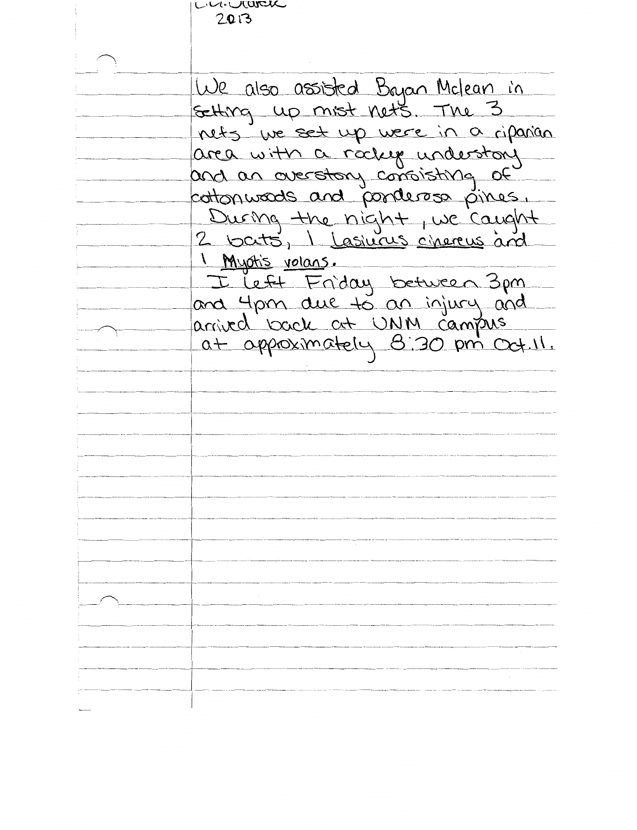Concerta  $2013$ We also assisted Bayan Miclean in nets we set up were in a riparian area with a rockly understory cottonwoods and ponderoso pines.<br>During the night, we caught<br>2 bats, I Lasiurus cinereus and 1 Myotis volans. I Left Friday between 3pm and 4pm due to an injury and<br>arrived book at UNM campus<br>at approximately 8:30 pm Oct.11.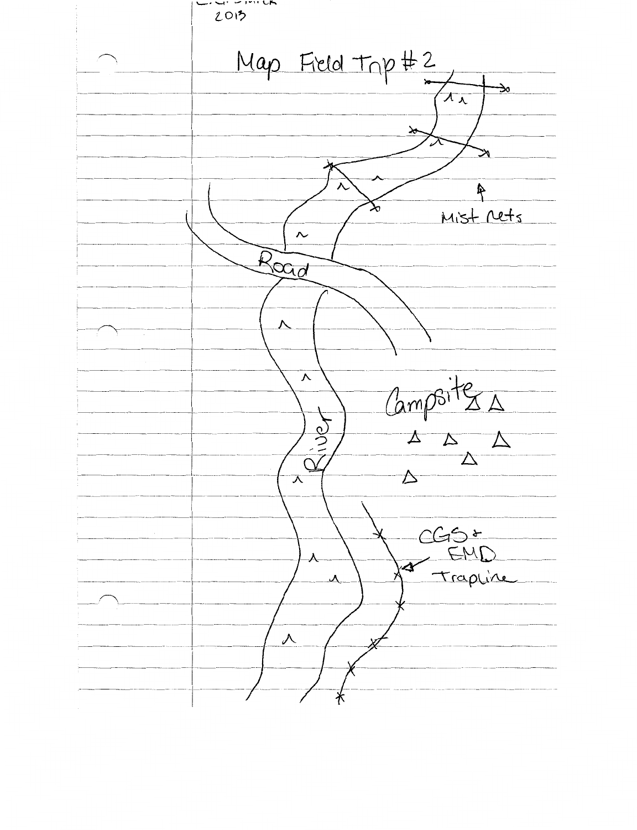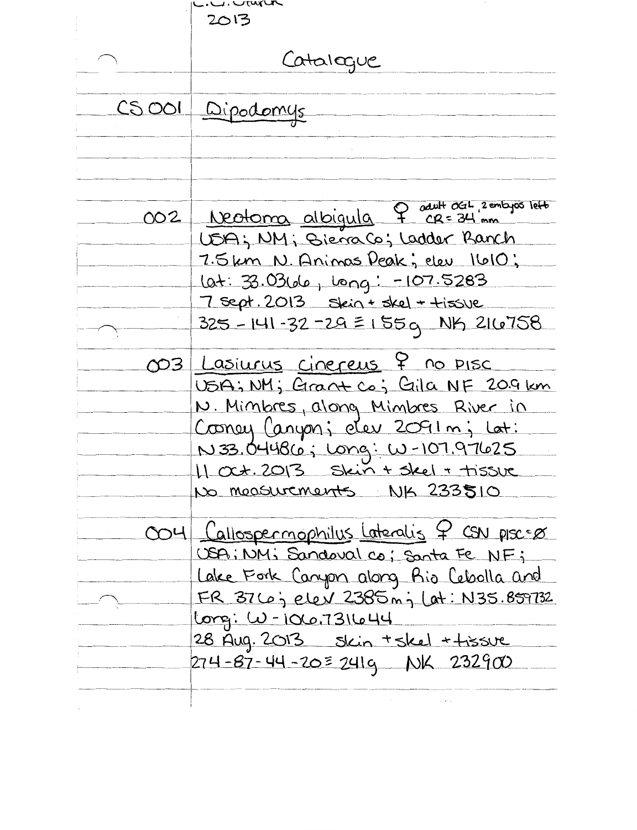|          | .u.vur<br>2013                                                                                                                                                                                                                                                        |
|----------|-----------------------------------------------------------------------------------------------------------------------------------------------------------------------------------------------------------------------------------------------------------------------|
|          | Catalogue                                                                                                                                                                                                                                                             |
| $CS$ OOI | Dipodomys                                                                                                                                                                                                                                                             |
| 002      | Neotoma albigula 9 seult dar, 2 entagos lett<br>USA; NM; Biera Co; Ladder Ranch<br>7.5km N. Animas Deak; elev 1610;<br>Lat: 33.03660, long: -107.5283<br>7 sept. 2013 skin + skel + +issue<br>325 - 141 - 32 - 29 = 155 g NK 216758                                   |
| 03       | <u>Lasiurus cinereus</u> 7 no pisc<br>USA; NM; Grant Co; Gila NF 20.9 km<br>N. Minbres, along Minbres River in<br>Cooney Canyon; des 2091 m; Lat:<br>N 33.04486; Long: W-107.97625<br>11 0ct. 2013 Skin + skel + tissue<br>No moasurements NK 233510                  |
|          | 004 <u>Callospermophilus</u> Lateralis 7 CSN plsc=0<br>USA; NM; Sandoval co; Santa Fe NF;<br>Lake Fork Canyon along Rio Cebolla and<br>FR 376; elev 2385 m; Lat: N35.859732<br>Long: W-106.731644<br>28 Aug. 2013 Skin + skel + tissue<br>274-87-44-20=241g NK 232900 |